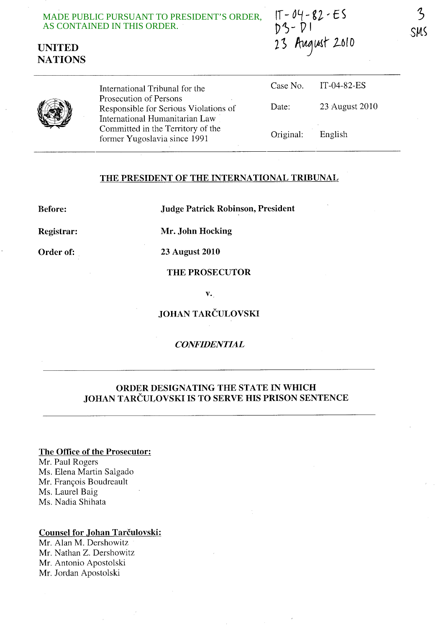MADE PUBLIC PURSUANT TO PRESIDENT'S ORDER, AS CONTAINED IN THIS ORDER. 





International Tribunal for the Prosecution of Persons Responsible for Serious Violations of International Humanitarian Law Committed in the Territory of the former Yugoslavia since 1991

| Case No. | IT-04-82-ES    |
|----------|----------------|
| Date:    | 23 August 2010 |
|          |                |

English

Original:

# **THE PRESIDENT OF THE INTERNATIONAL TRIBUNAL**

**Before: Judge Patrick Robinson, President** 

**Registrar: Mr. John Hocking** 

**Order of: 23 August 2010** 

**THE PROSECUTOR** 

**v.** 

**JOHAN TARCULOVSKI** 

### *CONFIDENTIAL*

# **ORDER DESIGNATING THE STATE IN WHICH JOHAN TARCULOVSKI IS TO SERVE HIS PRISON SENTENCE**

#### **The Office of the Prosecutor:**

Mr. Paul Rogers Ms. Elena Martin Salgado Mr. François Boudreault Ms. Laurel Baig Ms. Nadia Shihata

#### **Counsel for Johan Tarculovski:**

Mr. Alan M. Dershowitz Mr. Nathan Z. Dershowitz Mr. Antonio Apostolski Mr. Jordan Apostolski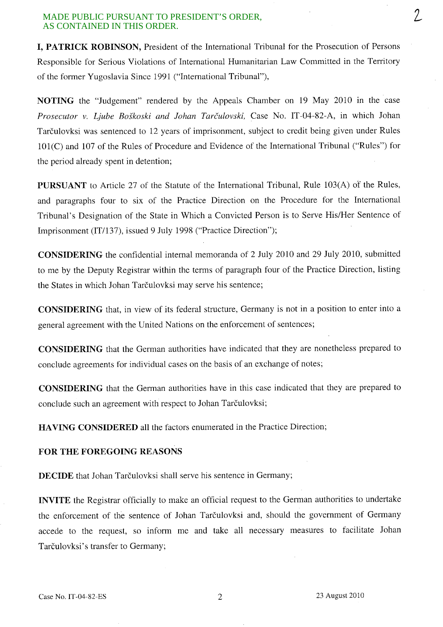#### MADE PUBLIC PURSUANT TO PRESIDENT'S ORDER, AS CONTAINED IN THIS ORDER.

**I, PATRICK ROBINSON,** President of the International Tribunal for the Prosecution of Persons Responsible for Serious Violations of International Humanitarian Law Committed in the Territory of the former Yugoslavia Since 1991 ("International Tribunal"),

**NOTING** the "Judgement" rendered by the Appeals Chamber on 19 May 2010 in the case *Prosecutor v. Ljube Boskoski and lohan Tarculovski,* Case No. IT -04-82-A, in which Johan Tarculovksi was sentenced to 12 years of imprisonment, subject to credit being given under Rules 101(C) and 107 of the Rules of Procedure and Evidence of the International Tribunal ("Rules") for the period already spent in detention;

**PURSUANT** to Article 27 of the Statute of the International Tribunal, Rule 103(A) of the Rules, and paragraphs four to six of the Practice Direction on the Procedure for the International Tribunal's Designation of the State in Which a Convicted Person is to Serve His/Her Sentence of Imprisonment (IT/137), issued 9 July 1998 ("Practice Direction");

**CONSIDERING** the confidential internal memoranda of 2 July 2010 and 29 July 2010, submitted to me by the Deputy Registrar within the terms of paragraph four of the Practice Direction, listing the States in which Johan Tarčulovksi may serve his sentence;

**CONSIDERING** that, in view of its federal structure, Germany is not in a position to enter into a general agreement with the United Nations on the enforcement of sentences;

**CONSIDERING** that the German authorities have indicated that they are nonetheless prepared to conclude agreements for individual cases on the basis of an exchange of notes;

**CONSIDERING** that the German authorities have in this case indicated that they are prepared to conclude such an agreement with respect to Johan Tarčulovksi;

**HA VING CONSIDERED** all the factors enumerated in the Practice Direction;

## **FOR THE FOREGOING REASONS**

**DECIDE** that Johan Tarčulovksi shall serve his sentence in Germany;

**INVITE** the Registrar officially to make an official request to the German authorities to undertake the enforcement of the sentence of Johan Tarculovksi and, should the government of Germany accede to the request, so inform me and take all necessary measures to facilitate Johan Tarčulovksi's transfer to Germany;